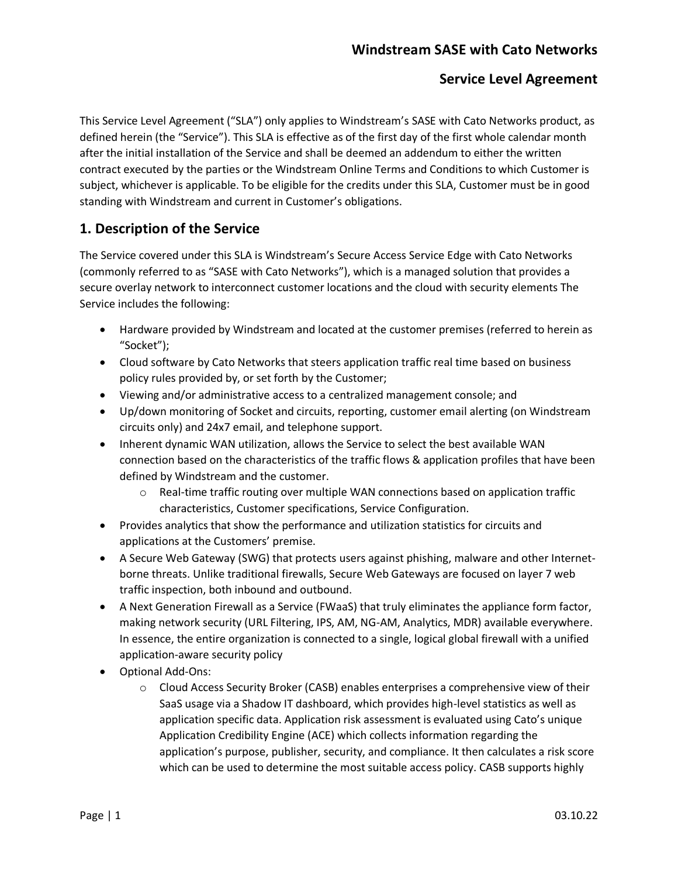# **Windstream SASE with Cato Networks**

## **Service Level Agreement**

This Service Level Agreement ("SLA") only applies to Windstream's SASE with Cato Networks product, as defined herein (the "Service"). This SLA is effective as of the first day of the first whole calendar month after the initial installation of the Service and shall be deemed an addendum to either the written contract executed by the parties or the Windstream Online Terms and Conditions to which Customer is subject, whichever is applicable. To be eligible for the credits under this SLA, Customer must be in good standing with Windstream and current in Customer's obligations.

# **1. Description of the Service**

The Service covered under this SLA is Windstream's Secure Access Service Edge with Cato Networks (commonly referred to as "SASE with Cato Networks"), which is a managed solution that provides a secure overlay network to interconnect customer locations and the cloud with security elements The Service includes the following:

- Hardware provided by Windstream and located at the customer premises (referred to herein as "Socket");
- Cloud software by Cato Networks that steers application traffic real time based on business policy rules provided by, or set forth by the Customer;
- Viewing and/or administrative access to a centralized management console; and
- Up/down monitoring of Socket and circuits, reporting, customer email alerting (on Windstream circuits only) and 24x7 email, and telephone support.
- Inherent dynamic WAN utilization, allows the Service to select the best available WAN connection based on the characteristics of the traffic flows & application profiles that have been defined by Windstream and the customer.
	- o Real-time traffic routing over multiple WAN connections based on application traffic characteristics, Customer specifications, Service Configuration.
- Provides analytics that show the performance and utilization statistics for circuits and applications at the Customers' premise.
- A Secure Web Gateway (SWG) that protects users against phishing, malware and other Internetborne threats. Unlike traditional firewalls, Secure Web Gateways are focused on layer 7 web traffic inspection, both inbound and outbound.
- A Next Generation Firewall as a Service (FWaaS) that truly eliminates the appliance form factor, making network security (URL Filtering, IPS, AM, NG-AM, Analytics, MDR) available everywhere. In essence, the entire organization is connected to a single, logical global firewall with a unified application-aware security policy
- Optional Add-Ons:
	- o Cloud Access Security Broker (CASB) enables enterprises a comprehensive view of their SaaS usage via a Shadow IT dashboard, which provides high-level statistics as well as application specific data. Application risk assessment is evaluated using Cato's unique Application Credibility Engine (ACE) which collects information regarding the application's purpose, publisher, security, and compliance. It then calculates a risk score which can be used to determine the most suitable access policy. CASB supports highly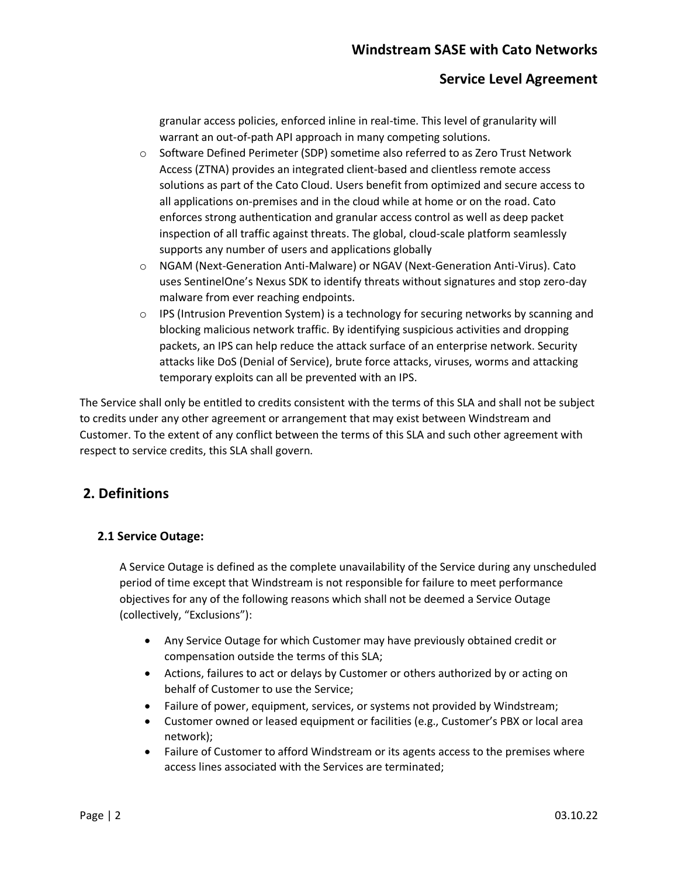granular access policies, enforced inline in real-time. This level of granularity will warrant an out-of-path API approach in many competing solutions.

- o Software Defined Perimeter (SDP) sometime also referred to as Zero Trust Network Access (ZTNA) provides an integrated client-based and clientless remote access solutions as part of the Cato Cloud. Users benefit from optimized and secure access to all applications on-premises and in the cloud while at home or on the road. Cato enforces strong authentication and granular access control as well as deep packet inspection of all traffic against threats. The global, cloud-scale platform seamlessly supports any number of users and applications globally
- o NGAM (Next-Generation Anti-Malware) or NGAV (Next-Generation Anti-Virus). Cato uses SentinelOne's Nexus SDK to identify threats without signatures and stop zero-day malware from ever reaching endpoints.
- $\circ$  IPS (Intrusion Prevention System) is a technology for securing networks by scanning and blocking malicious network traffic. By identifying suspicious activities and dropping packets, an IPS can help reduce the attack surface of an enterprise network. Security attacks like DoS (Denial of Service), brute force attacks, viruses, worms and attacking temporary exploits can all be prevented with an IPS.

The Service shall only be entitled to credits consistent with the terms of this SLA and shall not be subject to credits under any other agreement or arrangement that may exist between Windstream and Customer. To the extent of any conflict between the terms of this SLA and such other agreement with respect to service credits, this SLA shall govern.

## **2. Definitions**

#### **2.1 Service Outage:**

A Service Outage is defined as the complete unavailability of the Service during any unscheduled period of time except that Windstream is not responsible for failure to meet performance objectives for any of the following reasons which shall not be deemed a Service Outage (collectively, "Exclusions"):

- Any Service Outage for which Customer may have previously obtained credit or compensation outside the terms of this SLA;
- Actions, failures to act or delays by Customer or others authorized by or acting on behalf of Customer to use the Service;
- Failure of power, equipment, services, or systems not provided by Windstream;
- Customer owned or leased equipment or facilities (e.g., Customer's PBX or local area network);
- Failure of Customer to afford Windstream or its agents access to the premises where access lines associated with the Services are terminated;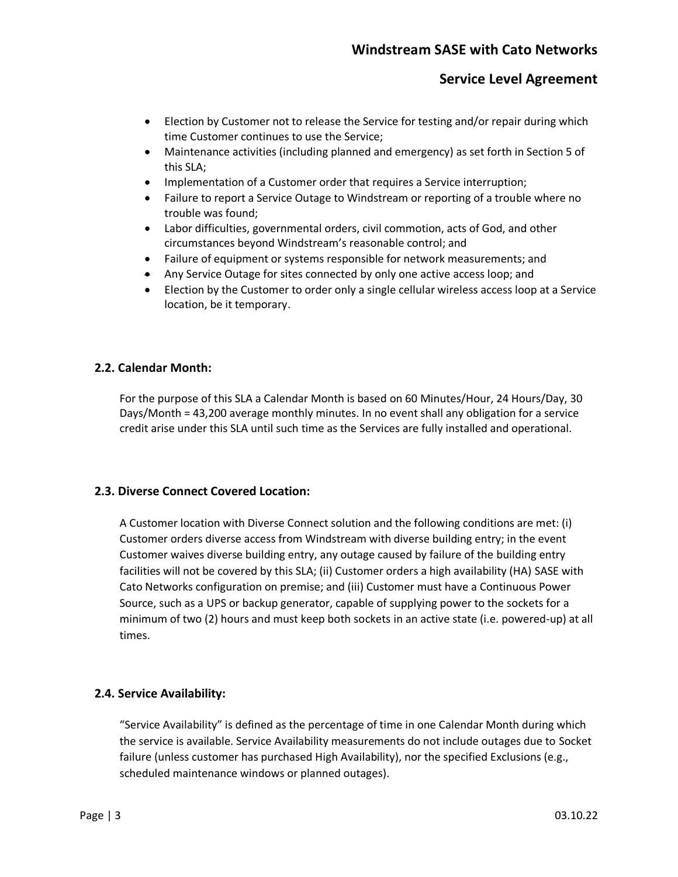- Election by Customer not to release the Service for testing and/or repair during which time Customer continues to use the Service;
- Maintenance activities (including planned and emergency) as set forth in Section 5 of this SLA;
- Implementation of a Customer order that requires a Service interruption;
- Failure to report a Service Outage to Windstream or reporting of a trouble where no trouble was found;
- Labor difficulties, governmental orders, civil commotion, acts of God, and other circumstances beyond Windstream's reasonable control; and
- Failure of equipment or systems responsible for network measurements; and
- Any Service Outage for sites connected by only one active access loop; and
- Election by the Customer to order only a single cellular wireless access loop at a Service location, be it temporary.

#### **2.2. Calendar Month:**

For the purpose of this SLA a Calendar Month is based on 60 Minutes/Hour, 24 Hours/Day, 30 Days/Month = 43,200 average monthly minutes. In no event shall any obligation for a service credit arise under this SLA until such time as the Services are fully installed and operational.

#### **2.3. Diverse Connect Covered Location:**

A Customer location with Diverse Connect solution and the following conditions are met: (i) Customer orders diverse access from Windstream with diverse building entry; in the event Customer waives diverse building entry, any outage caused by failure of the building entry facilities will not be covered by this SLA; (ii) Customer orders a high availability (HA) SASE with Cato Networks configuration on premise; and (iii) Customer must have a Continuous Power Source, such as a UPS or backup generator, capable of supplying power to the sockets for a minimum of two (2) hours and must keep both sockets in an active state (i.e. powered-up) at all times.

#### **2.4. Service Availability:**

"Service Availability" is defined as the percentage of time in one Calendar Month during which the service is available. Service Availability measurements do not include outages due to Socket failure (unless customer has purchased High Availability), nor the specified Exclusions (e.g., scheduled maintenance windows or planned outages).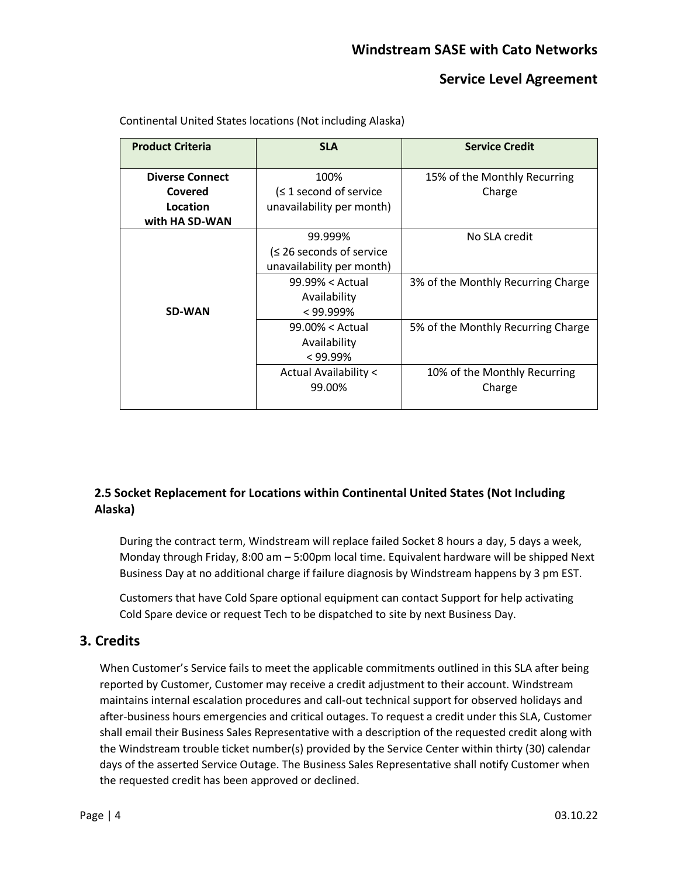| <b>Product Criteria</b> | <b>SLA</b>                   | <b>Service Credit</b>              |
|-------------------------|------------------------------|------------------------------------|
| <b>Diverse Connect</b>  | 100%                         | 15% of the Monthly Recurring       |
| Covered                 | $(≤ 1$ second of service     | Charge                             |
| Location                | unavailability per month)    |                                    |
| with HA SD-WAN          |                              |                                    |
|                         | 99.999%                      | No SLA credit                      |
|                         | $\leq$ 26 seconds of service |                                    |
|                         | unavailability per month)    |                                    |
|                         | $99.99\% <$ Actual           | 3% of the Monthly Recurring Charge |
|                         | Availability                 |                                    |
| <b>SD-WAN</b>           | $< 99.999\%$                 |                                    |
|                         | $99.00\% <$ Actual           | 5% of the Monthly Recurring Charge |
|                         | Availability                 |                                    |
|                         | $< 99.99\%$                  |                                    |
|                         | Actual Availability <        | 10% of the Monthly Recurring       |
|                         | 99.00%                       | Charge                             |
|                         |                              |                                    |

Continental United States locations (Not including Alaska)

#### **2.5 Socket Replacement for Locations within Continental United States (Not Including Alaska)**

During the contract term, Windstream will replace failed Socket 8 hours a day, 5 days a week, Monday through Friday, 8:00 am – 5:00pm local time. Equivalent hardware will be shipped Next Business Day at no additional charge if failure diagnosis by Windstream happens by 3 pm EST.

Customers that have Cold Spare optional equipment can contact Support for help activating Cold Spare device or request Tech to be dispatched to site by next Business Day.

## **3. Credits**

When Customer's Service fails to meet the applicable commitments outlined in this SLA after being reported by Customer, Customer may receive a credit adjustment to their account. Windstream maintains internal escalation procedures and call-out technical support for observed holidays and after-business hours emergencies and critical outages. To request a credit under this SLA, Customer shall email their Business Sales Representative with a description of the requested credit along with the Windstream trouble ticket number(s) provided by the Service Center within thirty (30) calendar days of the asserted Service Outage. The Business Sales Representative shall notify Customer when the requested credit has been approved or declined.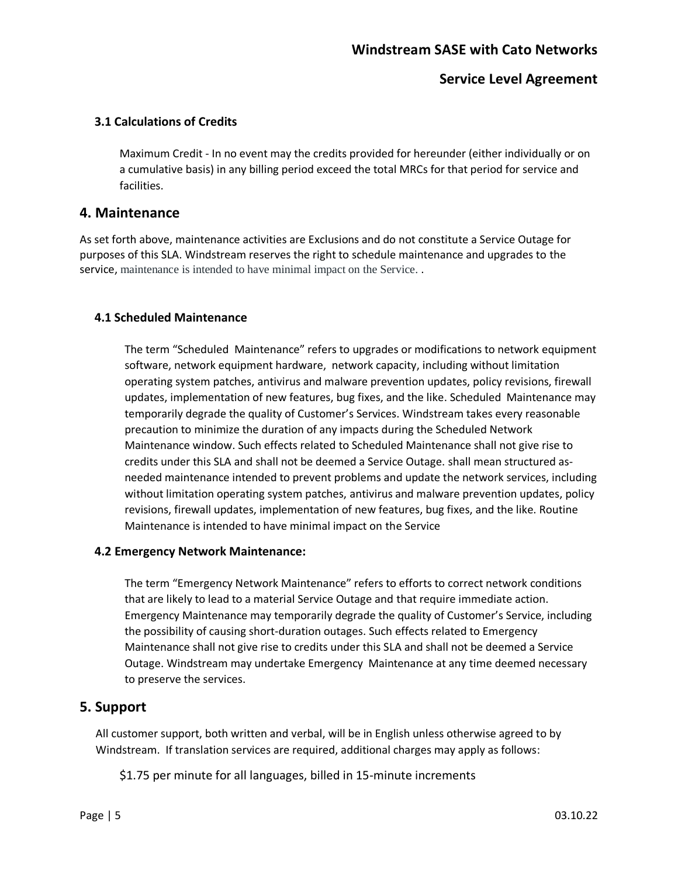## **Windstream SASE with Cato Networks**

#### **Service Level Agreement**

#### **3.1 Calculations of Credits**

Maximum Credit - In no event may the credits provided for hereunder (either individually or on a cumulative basis) in any billing period exceed the total MRCs for that period for service and facilities.

#### **4. Maintenance**

As set forth above, maintenance activities are Exclusions and do not constitute a Service Outage for purposes of this SLA. Windstream reserves the right to schedule maintenance and upgrades to the service, maintenance is intended to have minimal impact on the Service. .

#### **4.1 Scheduled Maintenance**

The term "Scheduled Maintenance" refers to upgrades or modifications to network equipment software, network equipment hardware, network capacity, including without limitation operating system patches, antivirus and malware prevention updates, policy revisions, firewall updates, implementation of new features, bug fixes, and the like. Scheduled Maintenance may temporarily degrade the quality of Customer's Services. Windstream takes every reasonable precaution to minimize the duration of any impacts during the Scheduled Network Maintenance window. Such effects related to Scheduled Maintenance shall not give rise to credits under this SLA and shall not be deemed a Service Outage. shall mean structured asneeded maintenance intended to prevent problems and update the network services, including without limitation operating system patches, antivirus and malware prevention updates, policy revisions, firewall updates, implementation of new features, bug fixes, and the like. Routine Maintenance is intended to have minimal impact on the Service

#### **4.2 Emergency Network Maintenance:**

The term "Emergency Network Maintenance" refers to efforts to correct network conditions that are likely to lead to a material Service Outage and that require immediate action. Emergency Maintenance may temporarily degrade the quality of Customer's Service, including the possibility of causing short-duration outages. Such effects related to Emergency Maintenance shall not give rise to credits under this SLA and shall not be deemed a Service Outage. Windstream may undertake Emergency Maintenance at any time deemed necessary to preserve the services.

#### **5. Support**

All customer support, both written and verbal, will be in English unless otherwise agreed to by Windstream. If translation services are required, additional charges may apply as follows:

\$1.75 per minute for all languages, billed in 15-minute increments